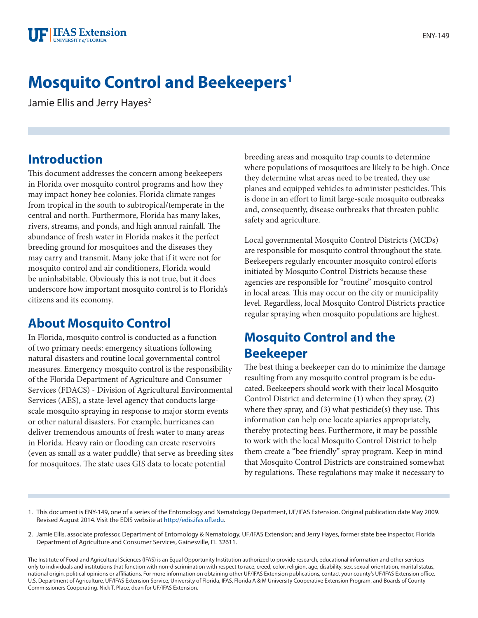# **Mosquito Control and Beekeepers1**

Jamie Ellis and Jerry Hayes<sup>2</sup>

#### **Introduction**

This document addresses the concern among beekeepers in Florida over mosquito control programs and how they may impact honey bee colonies. Florida climate ranges from tropical in the south to subtropical/temperate in the central and north. Furthermore, Florida has many lakes, rivers, streams, and ponds, and high annual rainfall. The abundance of fresh water in Florida makes it the perfect breeding ground for mosquitoes and the diseases they may carry and transmit. Many joke that if it were not for mosquito control and air conditioners, Florida would be uninhabitable. Obviously this is not true, but it does underscore how important mosquito control is to Florida's citizens and its economy.

#### **About Mosquito Control**

In Florida, mosquito control is conducted as a function of two primary needs: emergency situations following natural disasters and routine local governmental control measures. Emergency mosquito control is the responsibility of the Florida Department of Agriculture and Consumer Services (FDACS) - Division of Agricultural Environmental Services (AES), a state-level agency that conducts largescale mosquito spraying in response to major storm events or other natural disasters. For example, hurricanes can deliver tremendous amounts of fresh water to many areas in Florida. Heavy rain or flooding can create reservoirs (even as small as a water puddle) that serve as breeding sites for mosquitoes. The state uses GIS data to locate potential

breeding areas and mosquito trap counts to determine where populations of mosquitoes are likely to be high. Once they determine what areas need to be treated, they use planes and equipped vehicles to administer pesticides. This is done in an effort to limit large-scale mosquito outbreaks and, consequently, disease outbreaks that threaten public safety and agriculture.

Local governmental Mosquito Control Districts (MCDs) are responsible for mosquito control throughout the state. Beekeepers regularly encounter mosquito control efforts initiated by Mosquito Control Districts because these agencies are responsible for "routine" mosquito control in local areas. This may occur on the city or municipality level. Regardless, local Mosquito Control Districts practice regular spraying when mosquito populations are highest.

### **Mosquito Control and the Beekeeper**

The best thing a beekeeper can do to minimize the damage resulting from any mosquito control program is be educated. Beekeepers should work with their local Mosquito Control District and determine (1) when they spray, (2) where they spray, and (3) what pesticide(s) they use. This information can help one locate apiaries appropriately, thereby protecting bees. Furthermore, it may be possible to work with the local Mosquito Control District to help them create a "bee friendly" spray program. Keep in mind that Mosquito Control Districts are constrained somewhat by regulations. These regulations may make it necessary to

- 1. This document is ENY-149, one of a series of the Entomology and Nematology Department, UF/IFAS Extension. Original publication date May 2009. Revised August 2014. Visit the EDIS website at [http://edis.ifas.ufl.edu.](http://edis.ifas.ufl.edu)
- 2. Jamie Ellis, associate professor, Department of Entomology & Nematology, UF/IFAS Extension; and Jerry Hayes, former state bee inspector, Florida Department of Agriculture and Consumer Services, Gainesville, FL 32611.

The Institute of Food and Agricultural Sciences (IFAS) is an Equal Opportunity Institution authorized to provide research, educational information and other services only to individuals and institutions that function with non-discrimination with respect to race, creed, color, religion, age, disability, sex, sexual orientation, marital status, national origin, political opinions or affiliations. For more information on obtaining other UF/IFAS Extension publications, contact your county's UF/IFAS Extension office. U.S. Department of Agriculture, UF/IFAS Extension Service, University of Florida, IFAS, Florida A & M University Cooperative Extension Program, and Boards of County Commissioners Cooperating. Nick T. Place, dean for UF/IFAS Extension.